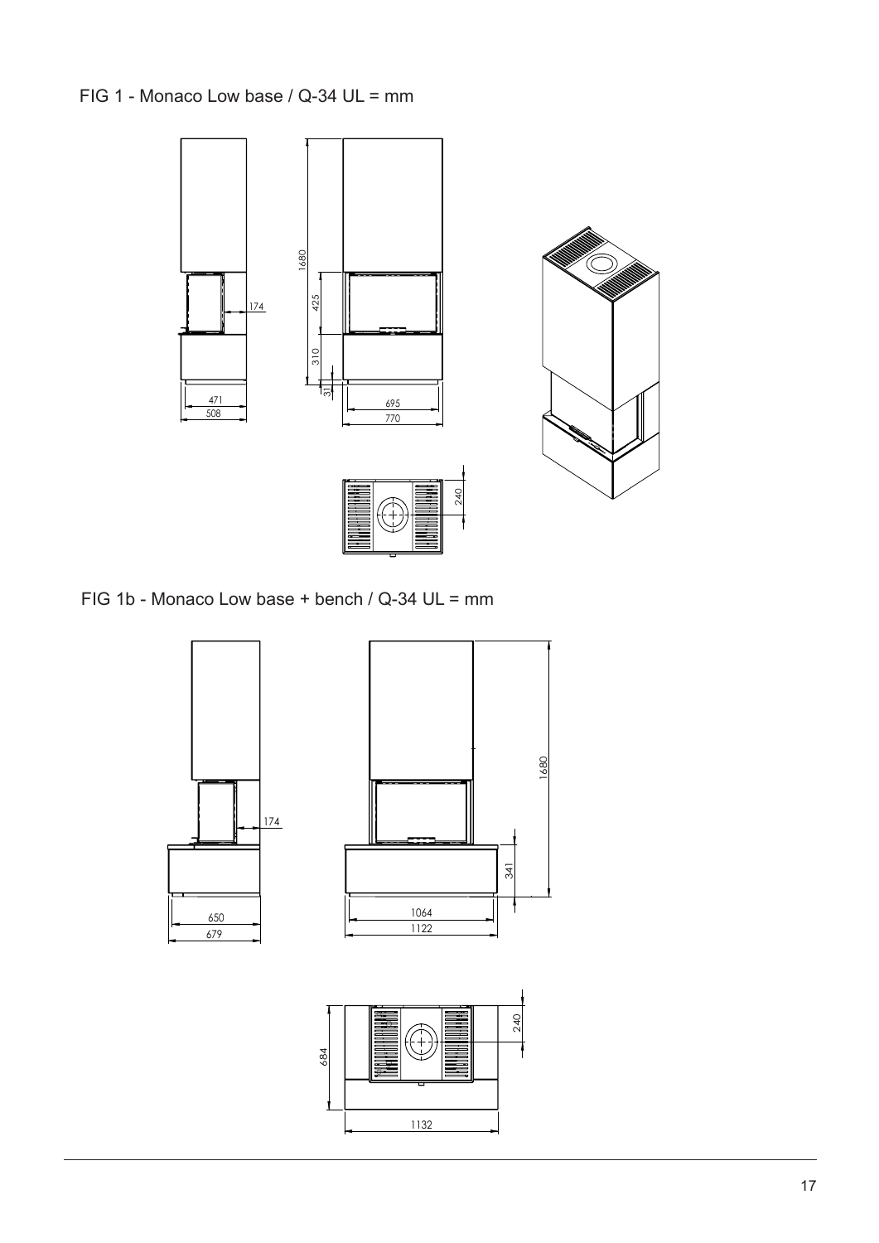## FIG 1 - Monaco Low base / Q-34 UL = mm



FIG 1b - Monaco Low base + bench / Q-34 UL = mm

This document is Northstar Sp. z o.o. exclusive intellectual property. It must be treated as strictly confidential and must not be copied or communicated to any third person without Northstar Sp. z o.o. written permission

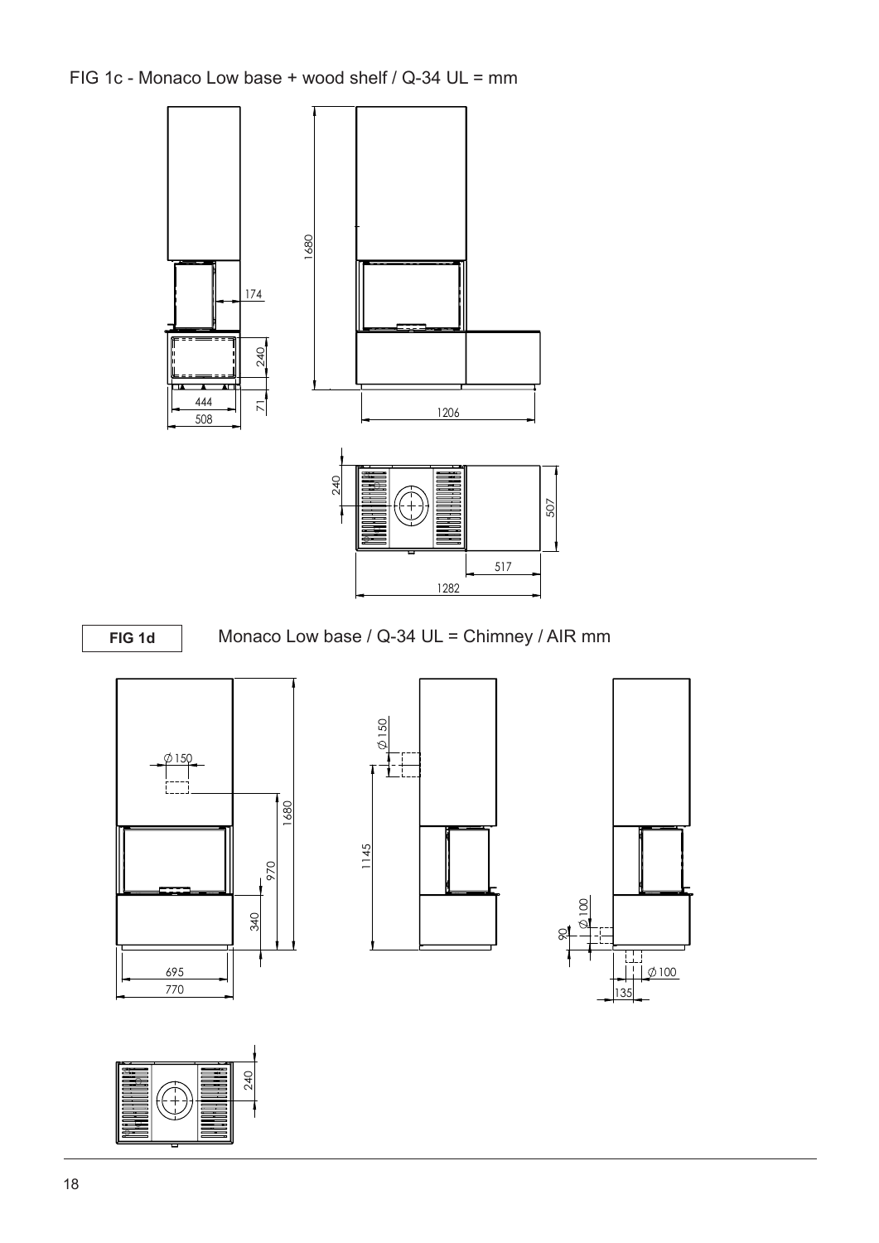FIG 1c - Monaco Low base + wood shelf / Q-34 UL = mm





**FIG 1d** | Monaco Low base / Q-34 UL = Chimney / AIR mm